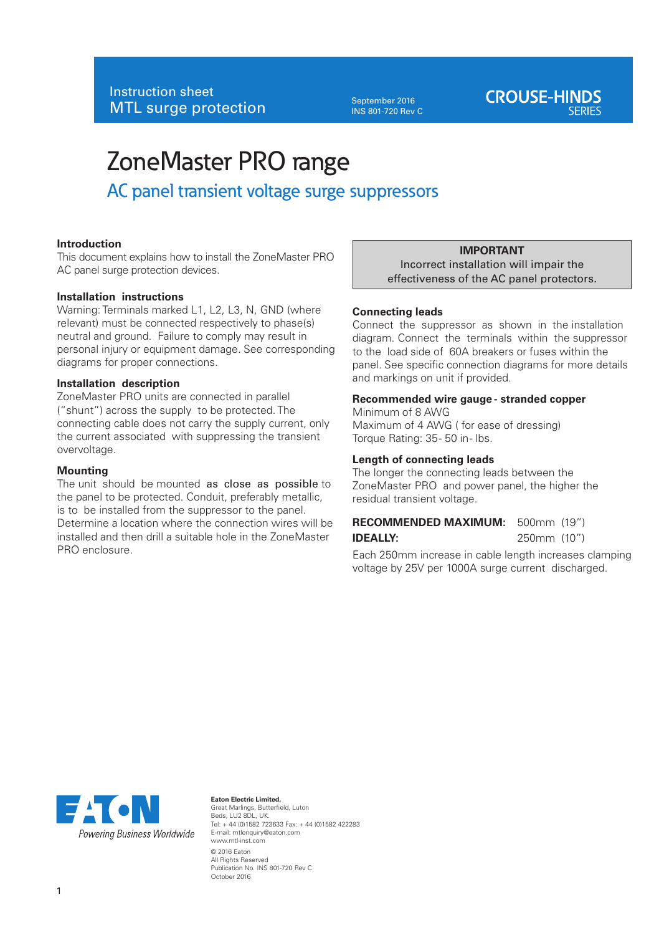September 2016 INS 801-720 Rev C

# ZoneMaster PRO range AC panel transient voltage surge suppressors

#### **Introduction**

This document explains how to install the ZoneMaster PRO AC panel surge protection devices.

#### **Installation instructions**

Warning: Terminals marked L1, L2, L3, N, GND (where relevant) must be connected respectively to phase(s) neutral and ground. Failure to comply may result in personal injury or equipment damage. See corresponding diagrams for proper connections.

#### **Installation description**

ZoneMaster PRO units are connected in parallel ("shunt") across the supply to be protected. The connecting cable does not carry the supply current, only the current associated with suppressing the transient overvoltage.

#### **Mounting**

The unit should be mounted as close as possible to the panel to be protected. Conduit, preferably metallic, is to be installed from the suppressor to the panel. Determine a location where the connection wires will be installed and then drill a suitable hole in the ZoneMaster PRO enclosure.

### **IMPORTANT**

Incorrect installation will impair the effectiveness of the AC panel protectors.

#### **Connecting leads**

Connect the suppressor as shown in the installation diagram. Connect the terminals within the suppressor to the load side of 60A breakers or fuses within the panel. See specific connection diagrams for more details and markings on unit if provided.

## **Recommended wire gauge - stranded copper**

Minimum of 8 AWG Maximum of 4 AWG ( for ease of dressing) Torque Rating: 35-50 in-Ibs.

#### **Length of connecting leads**

The longer the connecting leads between the ZoneMaster PRO and power panel, the higher the residual transient voltage.

**RECOMMENDED MAXIMUM:** 500mm (19") **IDEALLY:** 250mm (10")

Each 250mm increase in cable length increases clamping voltage by 25V per 1000A surge current discharged.



**Eaton Electric Limited,**  Great Marlings, Butterfield, Luton Beds, LU2 8DL, UK. Tel: + 44 (0)1582 723633 Fax: + 44 (0)1582 422283 E-mail: mtlenquiry@eaton.com www.mtl-inst.com © 2016 Eaton All Rights Reserved Publication No. INS 801-720 Rev C October 2016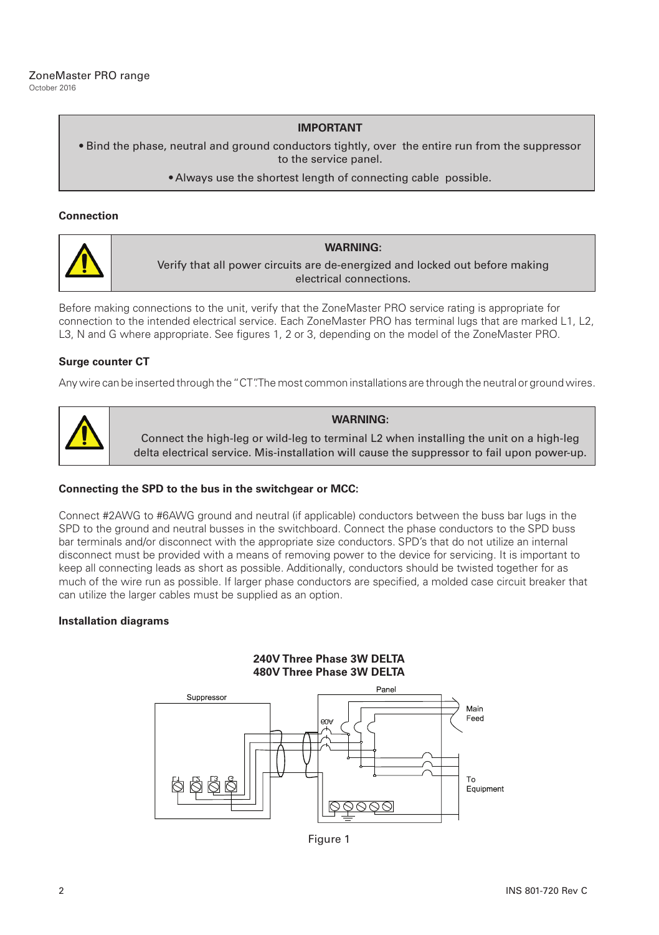#### **IMPORTANT**

• Bind the phase, neutral and ground conductors tightly, over the entire run from the suppressor to the service panel.

• Always use the shortest length of connecting cable possible.

#### **Connection**



**WARNING:** Verify that all power circuits are de-energized and locked out before making electrical connections.

Before making connections to the unit, verify that the ZoneMaster PRO service rating is appropriate for connection to the intended electrical service. Each ZoneMaster PRO has terminal lugs that are marked L1, L2, L3, N and G where appropriate. See figures 1, 2 or 3, depending on the model of the ZoneMaster PRO.

#### **Surge counter CT**

Any wire can be inserted through the "CT". The most common installations are through the neutral or ground wires.



**WARNING:** Connect the high-leg or wild-leg to terminal L2 when installing the unit on a high-leg delta electrical service. Mis-installation will cause the suppressor to fail upon power-up.

#### **Connecting the SPD to the bus in the switchgear or MCC:**

Connect #2AWG to #6AWG ground and neutral (if applicable) conductors between the buss bar lugs in the SPD to the ground and neutral busses in the switchboard. Connect the phase conductors to the SPD buss bar terminals and/or disconnect with the appropriate size conductors. SPD's that do not utilize an internal disconnect must be provided with a means of removing power to the device for servicing. It is important to keep all connecting leads as short as possible. Additionally, conductors should be twisted together for as much of the wire run as possible. If larger phase conductors are specified, a molded case circuit breaker that can utilize the larger cables must be supplied as an option.

### **Installation diagrams**

### **240V Three Phase 3W DELTA 480V Three Phase 3W DELTA**



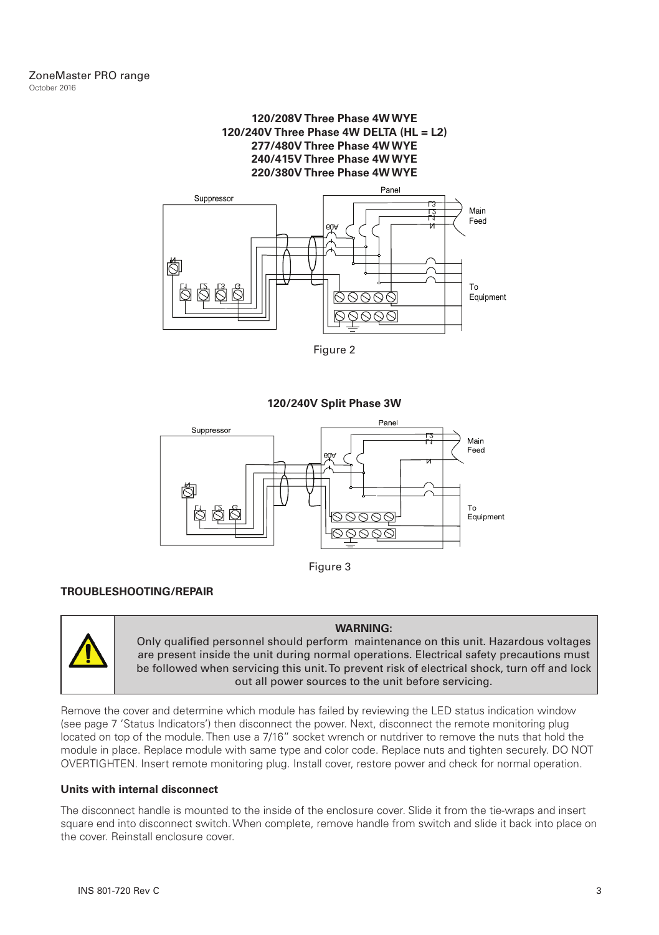### **120/208V Three Phase 4W WYE 120/240V Three Phase 4W DELTA (HL = L2) 277/480V Three Phase 4W WYE 240/415V Three Phase 4W WYE 220/380V Three Phase 4W WYE**



Figure 2

**120/240V Split Phase 3W**





# **TROUBLESHOOTING/REPAIR**



### **WARNING:**

Only qualified personnel should perform maintenance on this unit. Hazardous voltages are present inside the unit during normal operations. Electrical safety precautions must be followed when servicing this unit. To prevent risk of electrical shock, turn off and lock out all power sources to the unit before servicing.

Remove the cover and determine which module has failed by reviewing the LED status indication window (see page 7 'Status Indicators') then disconnect the power. Next, disconnect the remote monitoring plug located on top of the module. Then use a 7/16" socket wrench or nutdriver to remove the nuts that hold the module in place. Replace module with same type and color code. Replace nuts and tighten securely. DO NOT OVERTIGHTEN. Insert remote monitoring plug. Install cover, restore power and check for normal operation.

### **Units with internal disconnect**

The disconnect handle is mounted to the inside of the enclosure cover. Slide it from the tie-wraps and insert square end into disconnect switch. When complete, remove handle from switch and slide it back into place on the cover. Reinstall enclosure cover.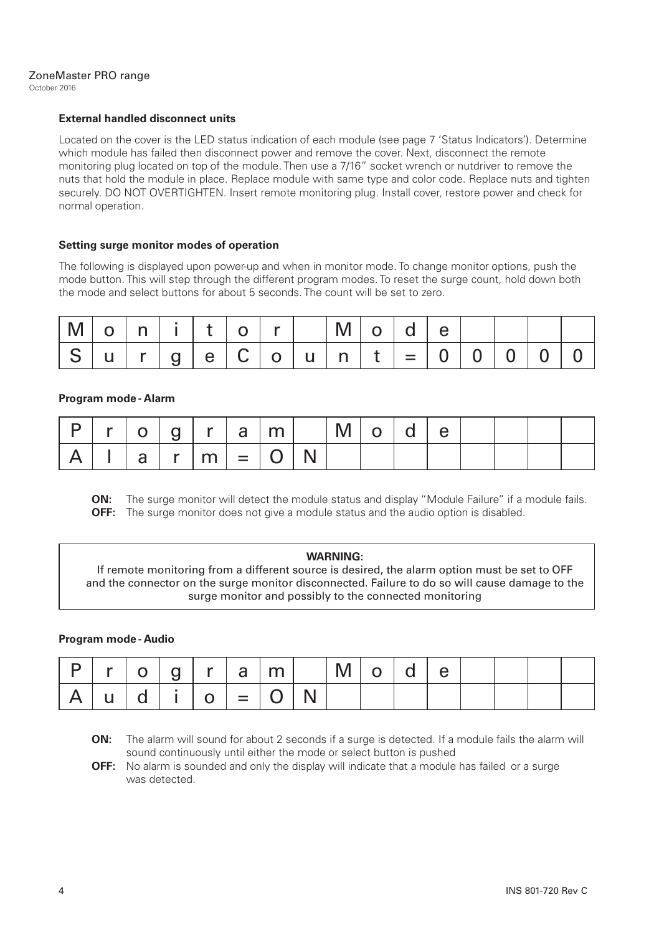October 2016

# **External handled disconnect units**

Located on the cover is the LED status indication of each module (see page 7 'Status Indicators'). Determine which module has failed then disconnect power and remove the cover. Next, disconnect the remote monitoring plug located on top of the module. Then use a 7/16" socket wrench or nutdriver to remove the nuts that hold the module in place. Replace module with same type and color code. Replace nuts and tighten securely. DO NOT OVERTIGHTEN. Insert remote monitoring plug. Install cover, restore power and check for normal operation.

## **Setting surge monitor modes of operation**

The following is displayed upon power-up and when in monitor mode. To change monitor options, push the mode button. This will step through the different program modes. To reset the surge count, hold down both the mode and select buttons for about 5 seconds. The count will be set to zero.

| M o n i t o r |  |  |  | $\vert M \vert o \vert d \vert e \vert$                           |  |  |  |  |
|---------------|--|--|--|-------------------------------------------------------------------|--|--|--|--|
|               |  |  |  | S   u   r   g   e   C   o   u   n   t   =   0   0   0   0   0   0 |  |  |  |  |

**Program mode - Alarm**

| $\overline{\phantom{a}}$ |                 | . .                      | $\sim$ | ◠<br>σ. |  |  |  |  |  |
|--------------------------|-----------------|--------------------------|--------|---------|--|--|--|--|--|
|                          | $\sqrt{2}$<br>▱ | $\overline{\phantom{a}}$ | $-$    | $=$     |  |  |  |  |  |

**ON:** The surge monitor will detect the module status and display "Module Failure" if a module fails. **OFF:** The surge monitor does not give a module status and the audio option is disabled.

### **WARNING:**

If remote monitoring from a different source is desired, the alarm option must be set to OFF and the connector on the surge monitor disconnected. Failure to do so will cause damage to the surge monitor and possibly to the connected monitoring

### **Program mode - Audio**

|              | <b>MA</b> |  | $\cdot$ a $\pm$ f $\pm$ 2 $\pm$ |                |  |  |  |  |  |
|--------------|-----------|--|---------------------------------|----------------|--|--|--|--|--|
| $\mathbf{v}$ |           |  | $1 \cup 0$                      | $\mathbf{r} =$ |  |  |  |  |  |

**ON:** The alarm will sound for about 2 seconds if a surge is detected. If a module fails the alarm will sound continuously until either the mode or select button is pushed

**OFF:** No alarm is sounded and only the display will indicate that a module has failed or a surge was detected.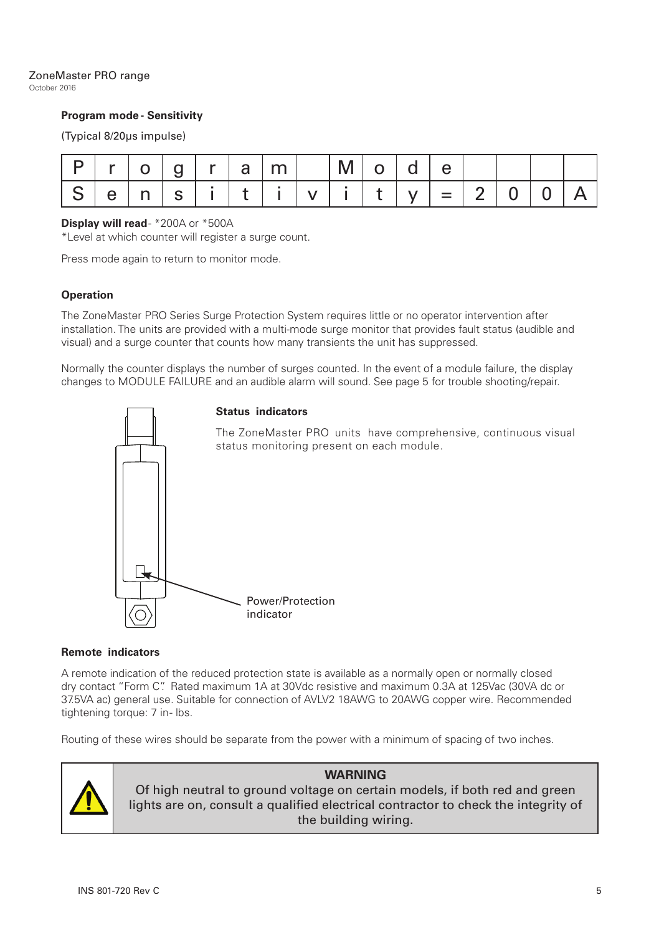#### ZoneMaster PRO range October 2016

### **Program mode - Sensitivity**

(Typical 8/20µs impulse)

| P r o q r a m |  |  |  | M   o   d   e |  |  |  |  |
|---------------|--|--|--|---------------|--|--|--|--|
|               |  |  |  |               |  |  |  |  |

#### **Display will read** - \*200A or \*500A

\*Level at which counter will register a surge count.

Press mode again to return to monitor mode.

### **Operation**

The ZoneMaster PRO Series Surge Protection System requires little or no operator intervention after installation. The units are provided with a multi-mode surge monitor that provides fault status (audible and visual) and a surge counter that counts how many transients the unit has suppressed.

Normally the counter displays the number of surges counted. In the event of a module failure, the display changes to MODULE FAILURE and an audible alarm will sound. See page 5 for trouble shooting/repair.



#### **Remote indicators**

A remote indication of the reduced protection state is available as a normally open or normally closed dry contact "Form C". Rated maximum 1A at 30Vdc resistive and maximum 0.3A at 125Vac (30VA dc or 37.5VA ac) general use. Suitable for connection of AVLV2 18AWG to 20AWG copper wire. Recommended tightening torque: 7 in- lbs.

Routing of these wires should be separate from the power with a minimum of spacing of two inches.



# **WARNING** Of high neutral to ground voltage on certain models, if both red and green lights are on, consult a qualified electrical contractor to check the integrity of the building wiring.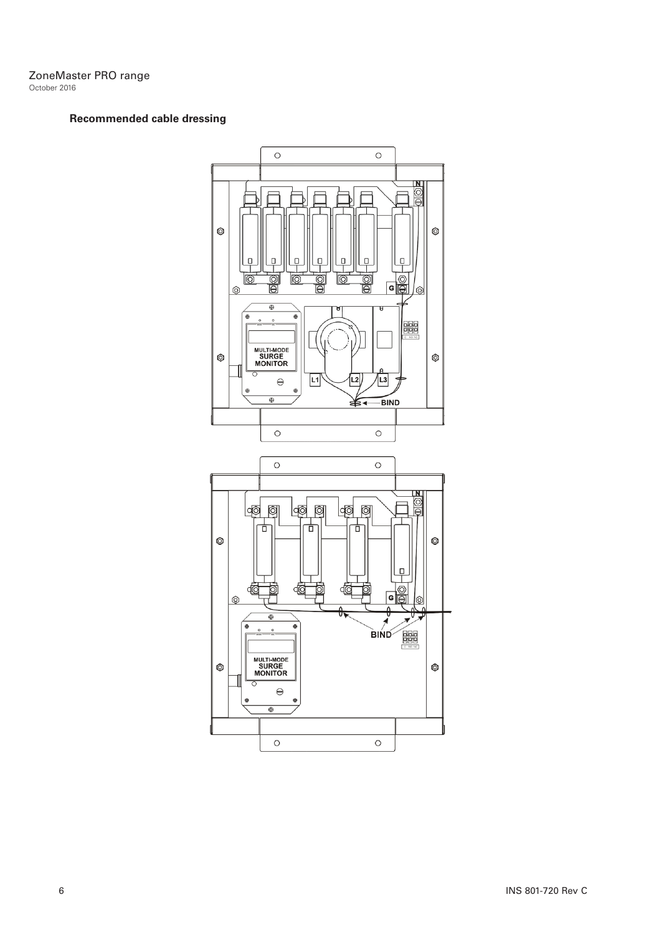### ZoneMaster PRO range October 2016

# **Recommended cable dressing**

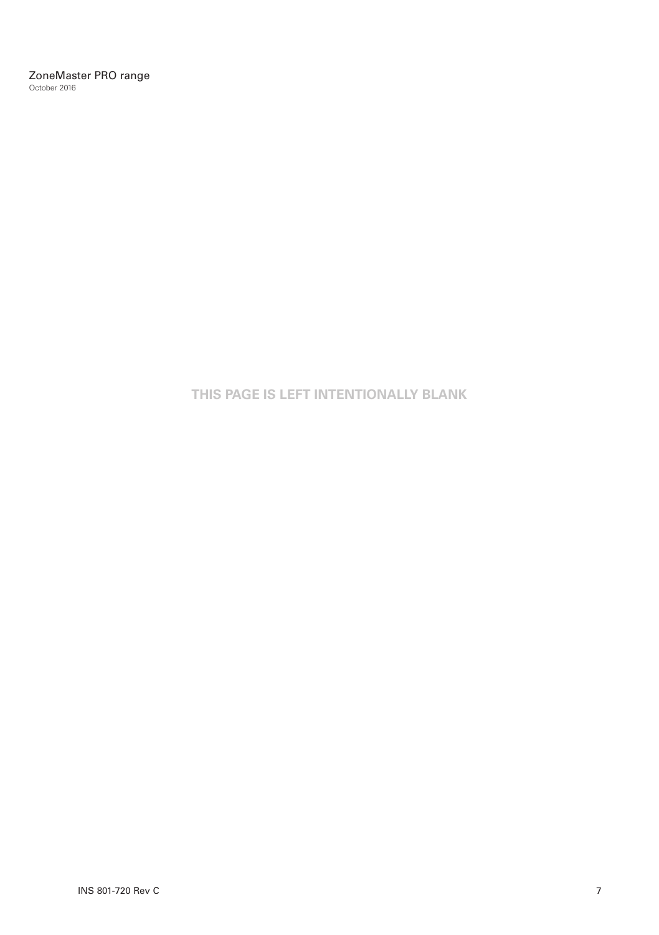ZoneMaster PRO range October 2016

# **THIS PAGE IS LEFT INTENTIONALLY BLANK**